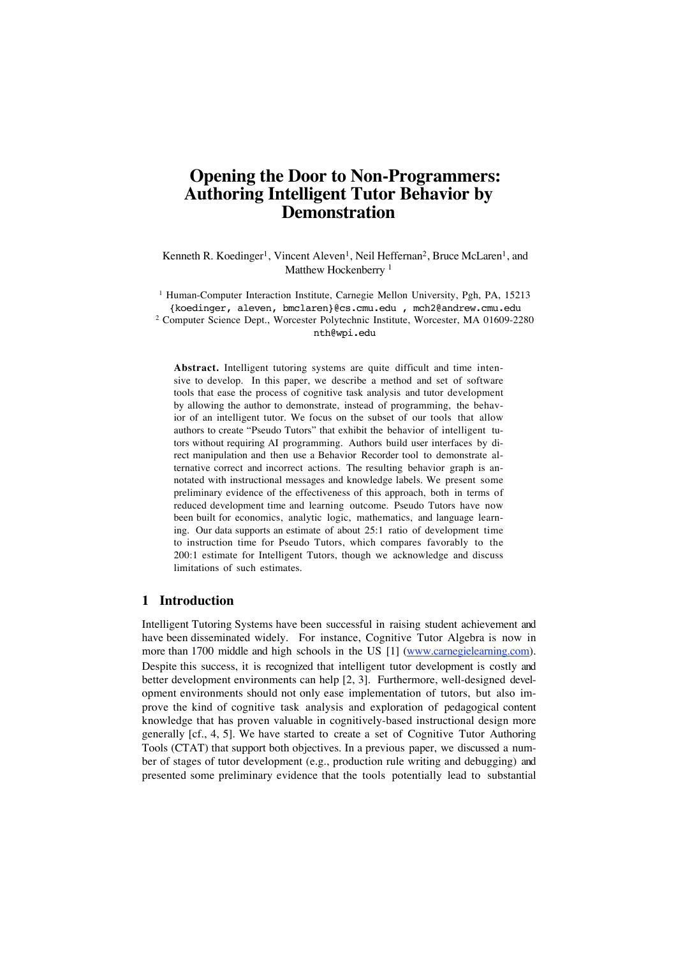# **Opening the Door to Non-Programmers: Authoring Intelligent Tutor Behavior by Demonstration**

Kenneth R. Koedinger<sup>1</sup>, Vincent Aleven<sup>1</sup>, Neil Heffernan<sup>2</sup>, Bruce McLaren<sup>1</sup>, and Matthew Hockenberry<sup>1</sup>

<sup>1</sup> Human-Computer Interaction Institute, Carnegie Mellon University, Pgh, PA, 15213

{koedinger, aleven, bmclaren}@cs.cmu.edu , mch2@andrew.cmu.edu

<sup>2</sup> Computer Science Dept., Worcester Polytechnic Institute, Worcester, MA 01609-2280 nth@wpi.edu

**Abstract.** Intelligent tutoring systems are quite difficult and time intensive to develop. In this paper, we describe a method and set of software tools that ease the process of cognitive task analysis and tutor development by allowing the author to demonstrate, instead of programming, the behavior of an intelligent tutor. We focus on the subset of our tools that allow authors to create "Pseudo Tutors" that exhibit the behavior of intelligent tutors without requiring AI programming. Authors build user interfaces by direct manipulation and then use a Behavior Recorder tool to demonstrate alternative correct and incorrect actions. The resulting behavior graph is annotated with instructional messages and knowledge labels. We present some preliminary evidence of the effectiveness of this approach, both in terms of reduced development time and learning outcome. Pseudo Tutors have now been built for economics, analytic logic, mathematics, and language learning. Our data supports an estimate of about 25:1 ratio of development time to instruction time for Pseudo Tutors, which compares favorably to the 200:1 estimate for Intelligent Tutors, though we acknowledge and discuss limitations of such estimates.

### **1 Introduction**

Intelligent Tutoring Systems have been successful in raising student achievement and have been disseminated widely. For instance, Cognitive Tutor Algebra is now in more than 1700 middle and high schools in the US [1] (www.carnegielearning.com). Despite this success, it is recognized that intelligent tutor development is costly and better development environments can help [2, 3]. Furthermore, well-designed development environments should not only ease implementation of tutors, but also improve the kind of cognitive task analysis and exploration of pedagogical content knowledge that has proven valuable in cognitively-based instructional design more generally [cf., 4, 5]. We have started to create a set of Cognitive Tutor Authoring Tools (CTAT) that support both objectives. In a previous paper, we discussed a number of stages of tutor development (e.g., production rule writing and debugging) and presented some preliminary evidence that the tools potentially lead to substantial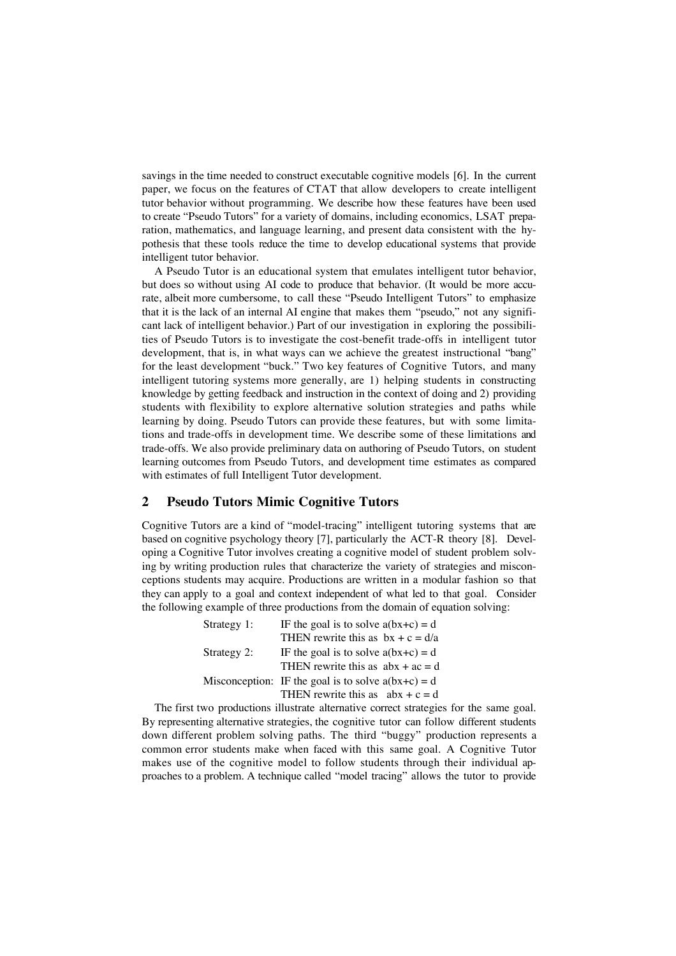savings in the time needed to construct executable cognitive models [6]. In the current paper, we focus on the features of CTAT that allow developers to create intelligent tutor behavior without programming. We describe how these features have been used to create "Pseudo Tutors" for a variety of domains, including economics, LSAT preparation, mathematics, and language learning, and present data consistent with the hypothesis that these tools reduce the time to develop educational systems that provide intelligent tutor behavior.

A Pseudo Tutor is an educational system that emulates intelligent tutor behavior, but does so without using AI code to produce that behavior. (It would be more accurate, albeit more cumbersome, to call these "Pseudo Intelligent Tutors" to emphasize that it is the lack of an internal AI engine that makes them "pseudo," not any significant lack of intelligent behavior.) Part of our investigation in exploring the possibilities of Pseudo Tutors is to investigate the cost-benefit trade-offs in intelligent tutor development, that is, in what ways can we achieve the greatest instructional "bang" for the least development "buck." Two key features of Cognitive Tutors, and many intelligent tutoring systems more generally, are 1) helping students in constructing knowledge by getting feedback and instruction in the context of doing and 2) providing students with flexibility to explore alternative solution strategies and paths while learning by doing. Pseudo Tutors can provide these features, but with some limitations and trade-offs in development time. We describe some of these limitations and trade-offs. We also provide preliminary data on authoring of Pseudo Tutors, on student learning outcomes from Pseudo Tutors, and development time estimates as compared with estimates of full Intelligent Tutor development.

### **2 Pseudo Tutors Mimic Cognitive Tutors**

Cognitive Tutors are a kind of "model-tracing" intelligent tutoring systems that are based on cognitive psychology theory [7], particularly the ACT-R theory [8]. Developing a Cognitive Tutor involves creating a cognitive model of student problem solving by writing production rules that characterize the variety of strategies and misconceptions students may acquire. Productions are written in a modular fashion so that they can apply to a goal and context independent of what led to that goal. Consider the following example of three productions from the domain of equation solving:

| Strategy 1: | IF the goal is to solve $a(bx+c) = d$                |
|-------------|------------------------------------------------------|
|             | THEN rewrite this as $bx + c = d/a$                  |
| Strategy 2: | IF the goal is to solve $a(bx+c) = d$                |
|             | THEN rewrite this as $abx + ac = d$                  |
|             | Misconception: IF the goal is to solve $a(bx+c) = d$ |
|             | THEN rewrite this as $abx + c = d$                   |

The first two productions illustrate alternative correct strategies for the same goal. By representing alternative strategies, the cognitive tutor can follow different students down different problem solving paths. The third "buggy" production represents a common error students make when faced with this same goal. A Cognitive Tutor makes use of the cognitive model to follow students through their individual approaches to a problem. A technique called "model tracing" allows the tutor to provide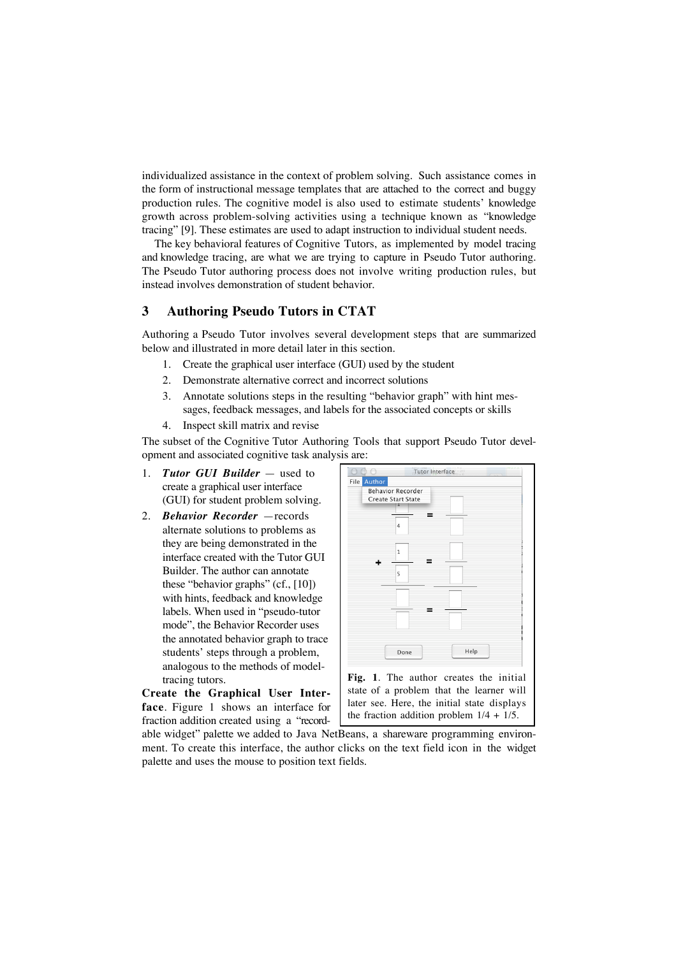individualized assistance in the context of problem solving. Such assistance comes in the form of instructional message templates that are attached to the correct and buggy production rules. The cognitive model is also used to estimate students' knowledge growth across problem-solving activities using a technique known as "knowledge tracing" [9]. These estimates are used to adapt instruction to individual student needs.

The key behavioral features of Cognitive Tutors, as implemented by model tracing and knowledge tracing, are what we are trying to capture in Pseudo Tutor authoring. The Pseudo Tutor authoring process does not involve writing production rules, but instead involves demonstration of student behavior.

# **3 Authoring Pseudo Tutors in CTAT**

Authoring a Pseudo Tutor involves several development steps that are summarized below and illustrated in more detail later in this section.

- 1. Create the graphical user interface (GUI) used by the student
- 2. Demonstrate alternative correct and incorrect solutions
- 3. Annotate solutions steps in the resulting "behavior graph" with hint messages, feedback messages, and labels for the associated concepts or skills
- 4. Inspect skill matrix and revise

The subset of the Cognitive Tutor Authoring Tools that support Pseudo Tutor development and associated cognitive task analysis are:

- 1. *Tutor GUI Builder* used to create a graphical user interface (GUI) for student problem solving.
- 2. *Behavior Recorder* —records alternate solutions to problems as they are being demonstrated in the interface created with the Tutor GUI Builder. The author can annotate these "behavior graphs" (cf., [10]) with hints, feedback and knowledge labels. When used in "pseudo-tutor mode", the Behavior Recorder uses the annotated behavior graph to trace students' steps through a problem, analogous to the methods of modeltracing tutors.

Done **Create the Graphical User Inter**later see. Here, the initial state displays **face**. Figure 1 shows an interface for



fraction addition created using a "recordable widget" palette we added to Java NetBeans, a shareware programming environment. To create this interface, the author clicks on the text field icon in the widget palette and uses the mouse to position text fields. the fraction addition problem 1/4 + 1/5.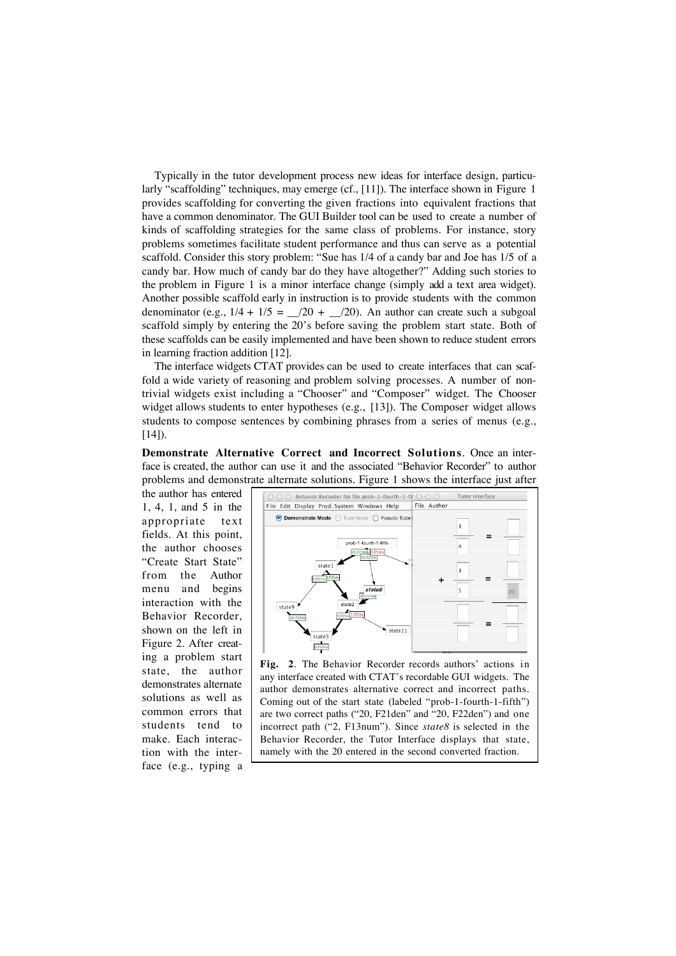Typically in the tutor development process new ideas for interface design, particularly "scaffolding" techniques, may emerge (cf., [11]). The interface shown in Figure 1 provides scaffolding for converting the given fractions into equivalent fractions that have a common denominator. The GUI Builder tool can be used to create a number of kinds of scaffolding strategies for the same class of problems. For instance, story problems sometimes facilitate student performance and thus can serve as a potential scaffold. Consider this story problem: "Sue has 1/4 of a candy bar and Joe has 1/5 of a candy bar. How much of candy bar do they have altogether?" Adding such stories to the problem in Figure 1 is a minor interface change (simply add a text area widget). Another possible scaffold early in instruction is to provide students with the common denominator (e.g.,  $1/4 + 1/5 =$   $\angle/20 + \angle/20$ ). An author can create such a subgoal scaffold simply by entering the 20's before saving the problem start state. Both of these scaffolds can be easily implemented and have been shown to reduce student errors in learning fraction addition [12].

The interface widgets CTAT provides can be used to create interfaces that can scaffold a wide variety of reasoning and problem solving processes. A number of nontrivial widgets exist including a "Chooser" and "Composer" widget. The Chooser widget allows students to enter hypotheses (e.g., [13]). The Composer widget allows students to compose sentences by combining phrases from a series of menus (e.g., [14]).

**Demonstrate Alternative Correct and Incorrect Solutions**. Once an interface is created, the author can use it and the associated "Behavior Recorder" to author problems and demonstrate alternate solutions. Figure 1 shows the interface just after

the author has entered 1, 4, 1, and 5 in the appropriate text fields. At this point, the author chooses "Create Start State" from the Author menu and begins interaction with the Behavior Recorder, shown on the left in Figure 2. After creating a problem start state, the author demonstrates alternate solutions as well as common errors that students tend to make. Each interaction with the interface (e.g., typing a



**Fig. 2**. The Behavior Recorder records authors' actions in any interface created with CTAT's recordable GUI widgets. The author demonstrates alternative correct and incorrect paths. Coming out of the start state (labeled "prob-1-fourth-1-fifth") are two correct paths ("20, F21den" and "20, F22den") and one incorrect path ("2, F13num"). Since *state8* is selected in the Behavior Recorder, the Tutor Interface displays that state, namely with the 20 entered in the second converted fraction.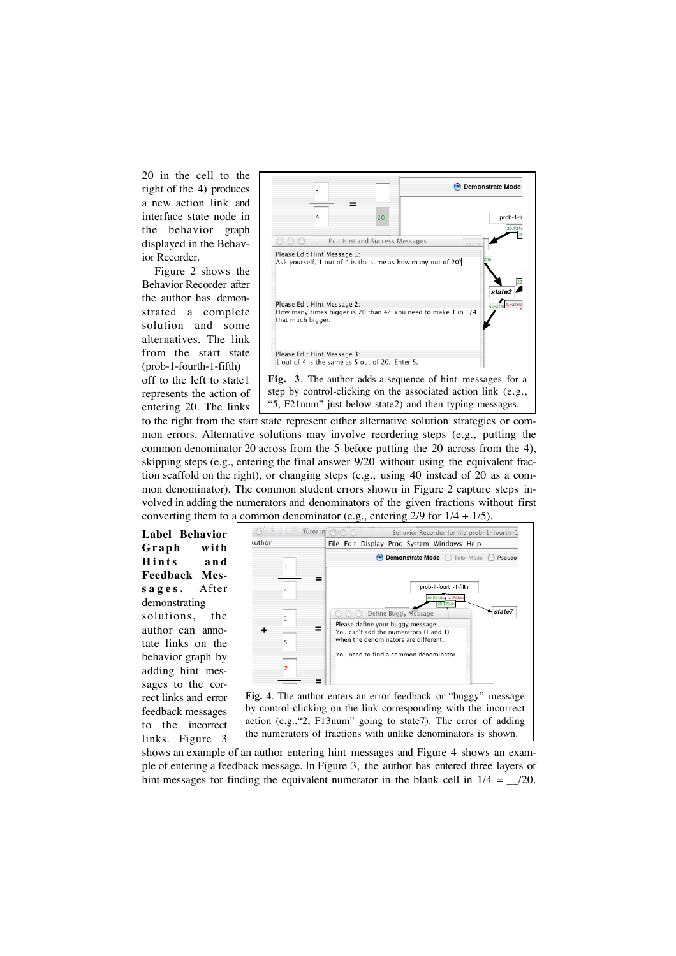20 in the cell to the right of the 4) produces a new action link and interface state node in the behavior graph displayed in the Behavior Recorder.

Figure 2 shows the Behavior Recorder after the author has demonstrated a complete solution and some alternatives. The link from the start state (prob-1-fourth-1-fifth) off to the left to state1 represents the action of

entering 20. The links



to the right from the start state represent either alternative solution strategies or common errors. Alternative solutions may involve reordering steps (e.g., putting the common denominator 20 across from the 5 before putting the 20 across from the 4), skipping steps (e.g., entering the final answer 9/20 without using the equivalent fraction scaffold on the right), or changing steps (e.g., using 40 instead of 20 as a common denominator). The common student errors shown in Figure 2 capture steps involved in adding the numerators and denominators of the given fractions without first converting them to a common denominator (e.g., entering  $2/9$  for  $1/4 + 1/5$ ).

**Label Behavior Graph with Hints and Feedback Messages.** After demonstrating solutions, the author can annotate links on the behavior graph by adding hint messages to the correct links and error feedback messages to the incorrect links. Figure 3



the numerators of fractions with unlike denominators is shown.

shows an example of an author entering hint messages and Figure 4 shows an example of entering a feedback message. In Figure 3, the author has entered three layers of hint messages for finding the equivalent numerator in the blank cell in  $1/4 =$   $\angle$  /20.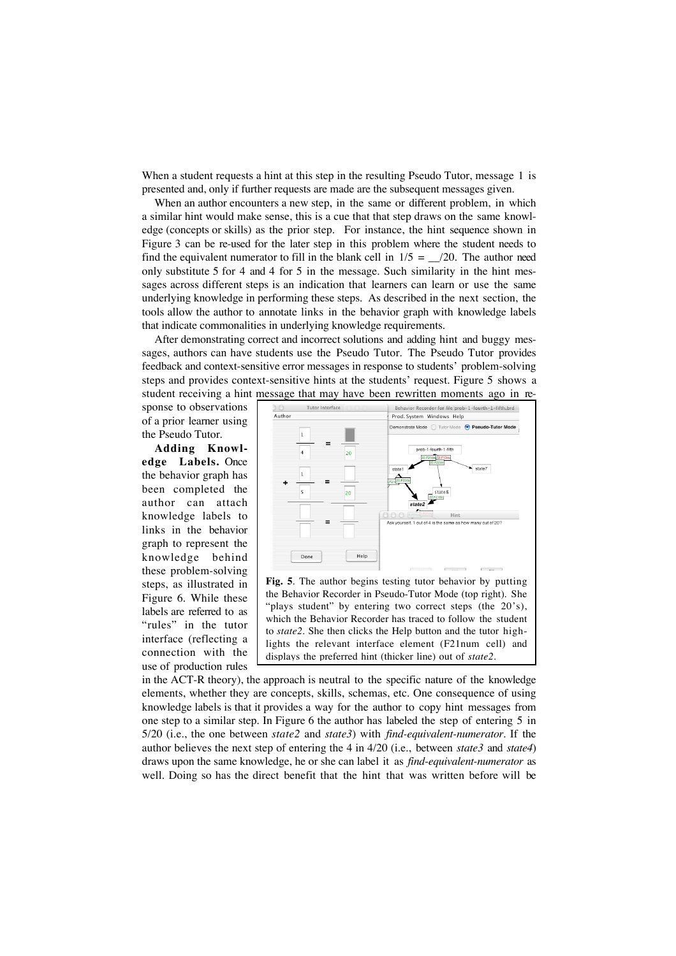When a student requests a hint at this step in the resulting Pseudo Tutor, message 1 is presented and, only if further requests are made are the subsequent messages given.

When an author encounters a new step, in the same or different problem, in which a similar hint would make sense, this is a cue that that step draws on the same knowledge (concepts or skills) as the prior step. For instance, the hint sequence shown in Figure 3 can be re-used for the later step in this problem where the student needs to find the equivalent numerator to fill in the blank cell in  $1/5 = 720$ . The author need only substitute 5 for 4 and 4 for 5 in the message. Such similarity in the hint messages across different steps is an indication that learners can learn or use the same underlying knowledge in performing these steps. As described in the next section, the tools allow the author to annotate links in the behavior graph with knowledge labels that indicate commonalities in underlying knowledge requirements.

After demonstrating correct and incorrect solutions and adding hint and buggy messages, authors can have students use the Pseudo Tutor. The Pseudo Tutor provides feedback and context-sensitive error messages in response to students' problem-solving steps and provides context-sensitive hints at the students' request. Figure 5 shows a student receiving a hint message that may have been rewritten moments ago in re-

sponse to observations of a prior learner using the Pseudo Tutor.

**Adding Knowledge Labels.** Once the behavior graph has been completed the author can attach knowledge labels to links in the behavior graph to represent the knowledge behind these problem-solving steps, as illustrated in Figure 6. While these labels are referred to as "rules" in the tutor interface (reflecting a connection with the use of production rules



the Behavior Recorder in Pseudo-Tutor Mode (top right). She "plays student" by entering two correct steps (the 20's), which the Behavior Recorder has traced to follow the student to *state2*. She then clicks the Help button and the tutor highlights the relevant interface element (F21num cell) and displays the preferred hint (thicker line) out of *state2*.

in the ACT-R theory), the approach is neutral to the specific nature of the knowledge elements, whether they are concepts, skills, schemas, etc. One consequence of using knowledge labels is that it provides a way for the author to copy hint messages from one step to a similar step. In Figure 6 the author has labeled the step of entering 5 in 5/20 (i.e., the one between *state2* and *state3*) with *find-equivalent-numerator*. If the author believes the next step of entering the 4 in 4/20 (i.e., between *state3* and *state4*) draws upon the same knowledge, he or she can label it as *find*-*equivalent-numerator* as well. Doing so has the direct benefit that the hint that was written before will be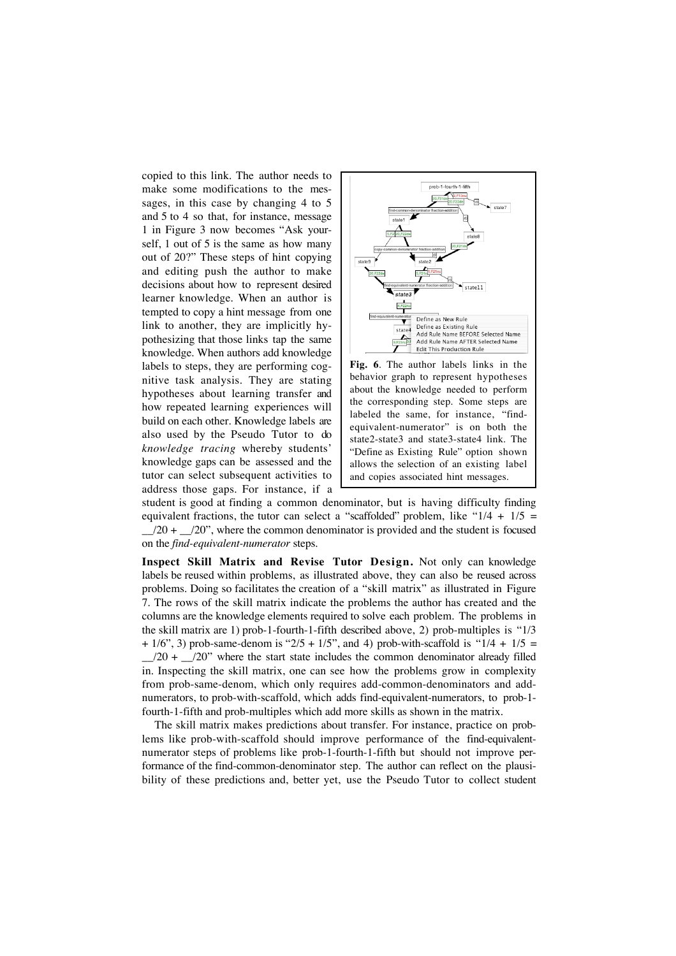copied to this link. The author needs to make some modifications to the messages, in this case by changing 4 to 5 and 5 to 4 so that, for instance, message 1 in Figure 3 now becomes "Ask yourself, 1 out of 5 is the same as how many out of 20?" These steps of hint copying and editing push the author to make decisions about how to represent desired learner knowledge. When an author is tempted to copy a hint message from one link to another, they are implicitly hypothesizing that those links tap the same knowledge. When authors add knowledge labels to steps, they are performing cognitive task analysis. They are stating hypotheses about learning transfer and how repeated learning experiences will build on each other. Knowledge labels are also used by the Pseudo Tutor to do *knowledge tracing* whereby students' knowledge gaps can be assessed and the tutor can select subsequent activities to address those gaps. For instance, if a



**Fig. 6**. The author labels links in the behavior graph to represent hypotheses about the knowledge needed to perform the corresponding step. Some steps are labeled the same, for instance, "findequivalent-numerator" is on both the state2-state3 and state3-state4 link. The "Define as Existing Rule" option shown allows the selection of an existing label and copies associated hint messages.

student is good at finding a common denominator, but is having difficulty finding equivalent fractions, the tutor can select a "scaffolded" problem, like " $1/4 + 1/5 =$  $\frac{1}{20}$  +  $\frac{1}{20}$ ", where the common denominator is provided and the student is focused on the *find-equivalent-numerator* steps.

**Inspect Skill Matrix and Revise Tutor Design.** Not only can knowledge labels be reused within problems, as illustrated above, they can also be reused across problems. Doing so facilitates the creation of a "skill matrix" as illustrated in Figure 7. The rows of the skill matrix indicate the problems the author has created and the columns are the knowledge elements required to solve each problem. The problems in the skill matrix are 1) prob-1-fourth-1-fifth described above, 2) prob-multiples is "1/3  $+ 1/6$ ", 3) prob-same-denom is "2/5 + 1/5", and 4) prob-with-scaffold is "1/4 + 1/5 =  $\frac{1}{20}$  +  $\frac{1}{20}$ " where the start state includes the common denominator already filled in. Inspecting the skill matrix, one can see how the problems grow in complexity from prob-same-denom, which only requires add-common-denominators and addnumerators, to prob-with-scaffold, which adds find-equivalent-numerators, to prob-1 fourth-1-fifth and prob-multiples which add more skills as shown in the matrix.

The skill matrix makes predictions about transfer. For instance, practice on problems like prob-with-scaffold should improve performance of the find-equivalentnumerator steps of problems like prob-1-fourth-1-fifth but should not improve performance of the find-common-denominator step. The author can reflect on the plausibility of these predictions and, better yet, use the Pseudo Tutor to collect student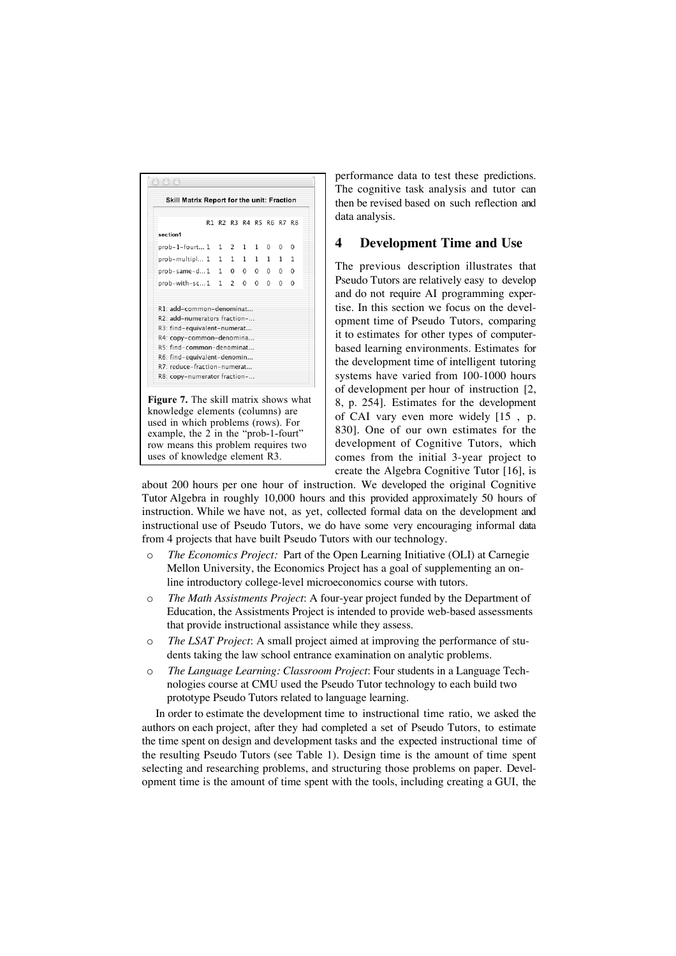| R2 R3 R4 R5 R6 R7 R8<br>R 1<br>section1<br>prob-1-fourt 1<br>$\overline{2}$<br>1<br>$\mathbf{1}$<br>1<br>0<br>0<br>0<br>$\mathbf{1}$<br>$\mathbf{1}$<br>prob-multipl 1<br>$\mathbf{1}$<br>$\mathbf{1}$<br>1<br>$\mathbf{1}$<br>$\mathbf{1}$<br>prob-same-d 1<br>$\mathbf{1}$<br>$\mathbf{0}$<br>$\Omega$<br>$\Omega$<br>0<br>$\Omega$<br>$\Omega$<br>prob-with-sc 1<br>$\mathbf{1}$<br>2<br>0<br>0<br>0<br>0<br>$\Omega$<br>R1: add-common-denominat<br>R2: add-numerators fraction-<br>R3: find-equivalent-numerat<br>R4: copy-common-denomina<br>R5: find-common-denominat<br>R6: find-equivalent-denomin<br>R7: reduce-fraction-numerat |  |  |  |  |  |
|--------------------------------------------------------------------------------------------------------------------------------------------------------------------------------------------------------------------------------------------------------------------------------------------------------------------------------------------------------------------------------------------------------------------------------------------------------------------------------------------------------------------------------------------------------------------------------------------------------------------------------------------|--|--|--|--|--|
|                                                                                                                                                                                                                                                                                                                                                                                                                                                                                                                                                                                                                                            |  |  |  |  |  |
|                                                                                                                                                                                                                                                                                                                                                                                                                                                                                                                                                                                                                                            |  |  |  |  |  |
|                                                                                                                                                                                                                                                                                                                                                                                                                                                                                                                                                                                                                                            |  |  |  |  |  |
|                                                                                                                                                                                                                                                                                                                                                                                                                                                                                                                                                                                                                                            |  |  |  |  |  |
|                                                                                                                                                                                                                                                                                                                                                                                                                                                                                                                                                                                                                                            |  |  |  |  |  |
|                                                                                                                                                                                                                                                                                                                                                                                                                                                                                                                                                                                                                                            |  |  |  |  |  |
| R8: copy-numerator fraction-                                                                                                                                                                                                                                                                                                                                                                                                                                                                                                                                                                                                               |  |  |  |  |  |

knowledge elements (columns) are used in which problems (rows). For example, the  $2$  in the "prob-1-fourt" row means this problem requires two uses of knowledge element R3.

performance data to test these predictions. The cognitive task analysis and tutor can then be revised based on such reflection and data analysis.

## **4 Development Time and Use**

The previous description illustrates that Pseudo Tutors are relatively easy to develop and do not require AI programming expertise. In this section we focus on the development time of Pseudo Tutors, comparing it to estimates for other types of computerbased learning environments. Estimates for the development time of intelligent tutoring systems have varied from 100-1000 hours of development per hour of instruction [2, 8, p. 254]. Estimates for the development of CAI vary even more widely [15 , p. 830]. One of our own estimates for the development of Cognitive Tutors, which comes from the initial 3-year project to create the Algebra Cognitive Tutor [16], is

about 200 hours per one hour of instruction. We developed the original Cognitive Tutor Algebra in roughly 10,000 hours and this provided approximately 50 hours of instruction. While we have not, as yet, collected formal data on the development and instructional use of Pseudo Tutors, we do have some very encouraging informal data from 4 projects that have built Pseudo Tutors with our technology.

- o *The Economics Project:* Part of the Open Learning Initiative (OLI) at Carnegie Mellon University, the Economics Project has a goal of supplementing an online introductory college-level microeconomics course with tutors.
- o *The Math Assistments Project*: A four-year project funded by the Department of Education, the Assistments Project is intended to provide web-based assessments that provide instructional assistance while they assess.
- o *The LSAT Project*: A small project aimed at improving the performance of students taking the law school entrance examination on analytic problems.
- o *The Language Learning: Classroom Project*: Four students in a Language Technologies course at CMU used the Pseudo Tutor technology to each build two prototype Pseudo Tutors related to language learning.

In order to estimate the development time to instructional time ratio, we asked the authors on each project, after they had completed a set of Pseudo Tutors, to estimate the time spent on design and development tasks and the expected instructional time of the resulting Pseudo Tutors (see Table 1). Design time is the amount of time spent selecting and researching problems, and structuring those problems on paper. Development time is the amount of time spent with the tools, including creating a GUI, the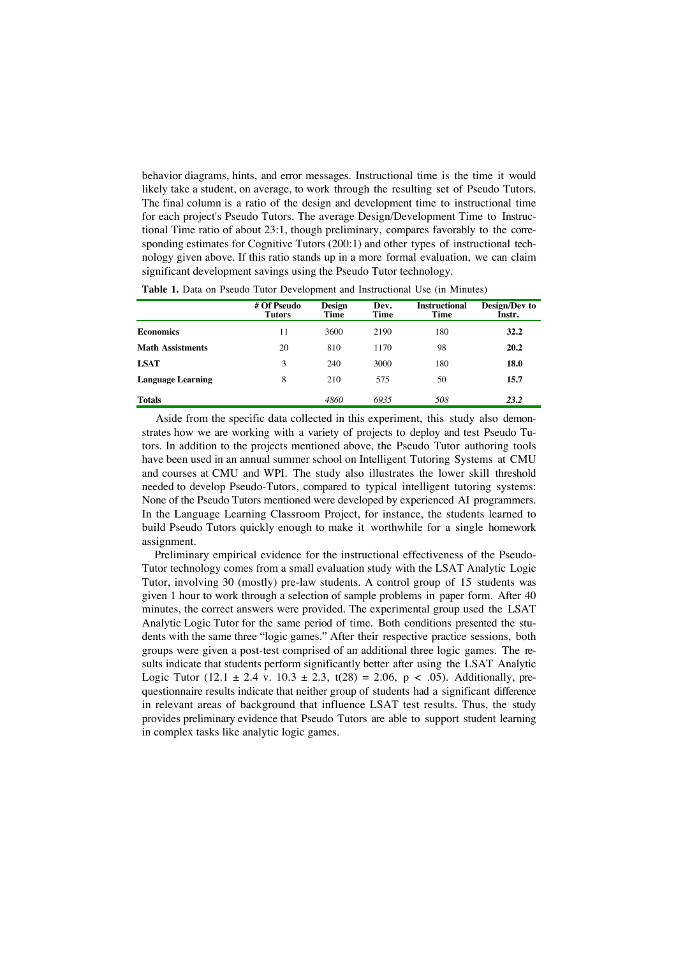behavior diagrams, hints, and error messages. Instructional time is the time it would likely take a student, on average, to work through the resulting set of Pseudo Tutors. The final column is a ratio of the design and development time to instructional time for each project's Pseudo Tutors. The average Design/Development Time to Instructional Time ratio of about 23:1, though preliminary, compares favorably to the corresponding estimates for Cognitive Tutors (200:1) and other types of instructional technology given above. If this ratio stands up in a more formal evaluation, we can claim significant development savings using the Pseudo Tutor technology.

|                          | # Of Pseudo<br><b>Tutors</b> | <b>Design</b><br>Time | Dev.<br>Time | <b>Instructional</b><br>Time | Design/Dev to<br>Instr. |
|--------------------------|------------------------------|-----------------------|--------------|------------------------------|-------------------------|
| <b>Economics</b>         | 11                           | 3600                  | 2190         | 180                          | 32.2                    |
| <b>Math Assistments</b>  | 20                           | 810                   | 1170         | 98                           | 20.2                    |
| <b>LSAT</b>              | 3                            | 240                   | 3000         | 180                          | 18.0                    |
| <b>Language Learning</b> | 8                            | 210                   | 575          | 50                           | 15.7                    |
| <b>Totals</b>            |                              | 4860                  | 6935         | 508                          | 23.2                    |

**Table 1.** Data on Pseudo Tutor Development and Instructional Use (in Minutes)

Aside from the specific data collected in this experiment, this study also demonstrates how we are working with a variety of projects to deploy and test Pseudo Tutors. In addition to the projects mentioned above, the Pseudo Tutor authoring tools have been used in an annual summer school on Intelligent Tutoring Systems at CMU and courses at CMU and WPI. The study also illustrates the lower skill threshold needed to develop Pseudo-Tutors, compared to typical intelligent tutoring systems: None of the Pseudo Tutors mentioned were developed by experienced AI programmers. In the Language Learning Classroom Project, for instance, the students learned to build Pseudo Tutors quickly enough to make it worthwhile for a single homework assignment.

Preliminary empirical evidence for the instructional effectiveness of the Pseudo-Tutor technology comes from a small evaluation study with the LSAT Analytic Logic Tutor, involving 30 (mostly) pre-law students. A control group of 15 students was given 1 hour to work through a selection of sample problems in paper form. After 40 minutes, the correct answers were provided. The experimental group used the LSAT Analytic Logic Tutor for the same period of time. Both conditions presented the students with the same three "logic games." After their respective practice sessions, both groups were given a post-test comprised of an additional three logic games. The results indicate that students perform significantly better after using the LSAT Analytic Logic Tutor (12.1  $\pm$  2.4 v. 10.3  $\pm$  2.3, t(28) = 2.06, p < .05). Additionally, prequestionnaire results indicate that neither group of students had a significant difference in relevant areas of background that influence LSAT test results. Thus, the study provides preliminary evidence that Pseudo Tutors are able to support student learning in complex tasks like analytic logic games.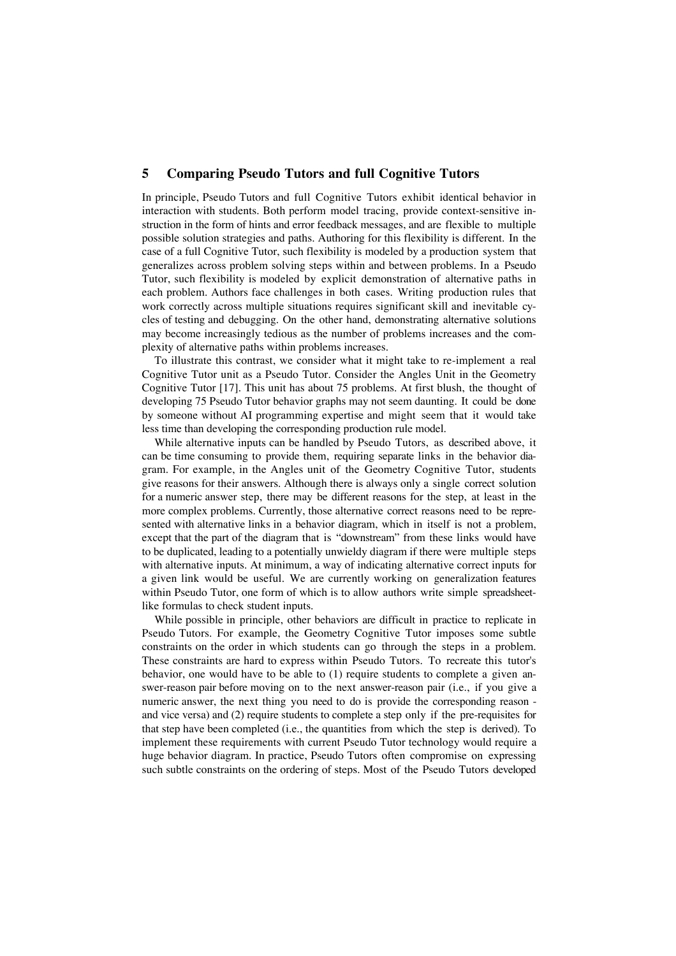# **5 Comparing Pseudo Tutors and full Cognitive Tutors**

In principle, Pseudo Tutors and full Cognitive Tutors exhibit identical behavior in interaction with students. Both perform model tracing, provide context-sensitive instruction in the form of hints and error feedback messages, and are flexible to multiple possible solution strategies and paths. Authoring for this flexibility is different. In the case of a full Cognitive Tutor, such flexibility is modeled by a production system that generalizes across problem solving steps within and between problems. In a Pseudo Tutor, such flexibility is modeled by explicit demonstration of alternative paths in each problem. Authors face challenges in both cases. Writing production rules that work correctly across multiple situations requires significant skill and inevitable cycles of testing and debugging. On the other hand, demonstrating alternative solutions may become increasingly tedious as the number of problems increases and the complexity of alternative paths within problems increases.

To illustrate this contrast, we consider what it might take to re-implement a real Cognitive Tutor unit as a Pseudo Tutor. Consider the Angles Unit in the Geometry Cognitive Tutor [17]. This unit has about 75 problems. At first blush, the thought of developing 75 Pseudo Tutor behavior graphs may not seem daunting. It could be done by someone without AI programming expertise and might seem that it would take less time than developing the corresponding production rule model.

While alternative inputs can be handled by Pseudo Tutors, as described above, it can be time consuming to provide them, requiring separate links in the behavior diagram. For example, in the Angles unit of the Geometry Cognitive Tutor, students give reasons for their answers. Although there is always only a single correct solution for a numeric answer step, there may be different reasons for the step, at least in the more complex problems. Currently, those alternative correct reasons need to be represented with alternative links in a behavior diagram, which in itself is not a problem, except that the part of the diagram that is "downstream" from these links would have to be duplicated, leading to a potentially unwieldy diagram if there were multiple steps with alternative inputs. At minimum, a way of indicating alternative correct inputs for a given link would be useful. We are currently working on generalization features within Pseudo Tutor, one form of which is to allow authors write simple spreadsheetlike formulas to check student inputs.

While possible in principle, other behaviors are difficult in practice to replicate in Pseudo Tutors. For example, the Geometry Cognitive Tutor imposes some subtle constraints on the order in which students can go through the steps in a problem. These constraints are hard to express within Pseudo Tutors. To recreate this tutor's behavior, one would have to be able to (1) require students to complete a given answer-reason pair before moving on to the next answer-reason pair (i.e., if you give a numeric answer, the next thing you need to do is provide the corresponding reason and vice versa) and (2) require students to complete a step only if the pre-requisites for that step have been completed (i.e., the quantities from which the step is derived). To implement these requirements with current Pseudo Tutor technology would require a huge behavior diagram. In practice, Pseudo Tutors often compromise on expressing such subtle constraints on the ordering of steps. Most of the Pseudo Tutors developed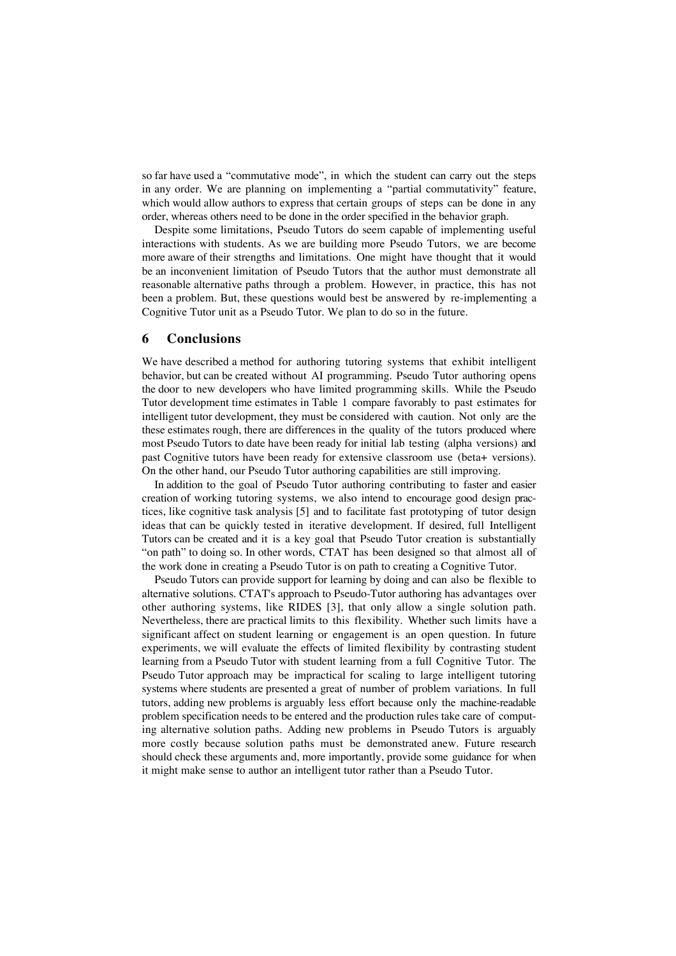so far have used a "commutative mode", in which the student can carry out the steps in any order. We are planning on implementing a "partial commutativity" feature, which would allow authors to express that certain groups of steps can be done in any order, whereas others need to be done in the order specified in the behavior graph.

Despite some limitations, Pseudo Tutors do seem capable of implementing useful interactions with students. As we are building more Pseudo Tutors, we are become more aware of their strengths and limitations. One might have thought that it would be an inconvenient limitation of Pseudo Tutors that the author must demonstrate all reasonable alternative paths through a problem. However, in practice, this has not been a problem. But, these questions would best be answered by re-implementing a Cognitive Tutor unit as a Pseudo Tutor. We plan to do so in the future.

#### **6 Conclusions**

We have described a method for authoring tutoring systems that exhibit intelligent behavior, but can be created without AI programming. Pseudo Tutor authoring opens the door to new developers who have limited programming skills. While the Pseudo Tutor development time estimates in Table 1 compare favorably to past estimates for intelligent tutor development, they must be considered with caution. Not only are the these estimates rough, there are differences in the quality of the tutors produced where most Pseudo Tutors to date have been ready for initial lab testing (alpha versions) and past Cognitive tutors have been ready for extensive classroom use (beta+ versions). On the other hand, our Pseudo Tutor authoring capabilities are still improving.

In addition to the goal of Pseudo Tutor authoring contributing to faster and easier creation of working tutoring systems, we also intend to encourage good design practices, like cognitive task analysis [5] and to facilitate fast prototyping of tutor design ideas that can be quickly tested in iterative development. If desired, full Intelligent Tutors can be created and it is a key goal that Pseudo Tutor creation is substantially "on path" to doing so. In other words, CTAT has been designed so that almost all of the work done in creating a Pseudo Tutor is on path to creating a Cognitive Tutor.

Pseudo Tutors can provide support for learning by doing and can also be flexible to alternative solutions. CTAT's approach to Pseudo-Tutor authoring has advantages over other authoring systems, like RIDES [3], that only allow a single solution path. Nevertheless, there are practical limits to this flexibility. Whether such limits have a significant affect on student learning or engagement is an open question. In future experiments, we will evaluate the effects of limited flexibility by contrasting student learning from a Pseudo Tutor with student learning from a full Cognitive Tutor. The Pseudo Tutor approach may be impractical for scaling to large intelligent tutoring systems where students are presented a great of number of problem variations. In full tutors, adding new problems is arguably less effort because only the machine-readable problem specification needs to be entered and the production rules take care of computing alternative solution paths. Adding new problems in Pseudo Tutors is arguably more costly because solution paths must be demonstrated anew. Future research should check these arguments and, more importantly, provide some guidance for when it might make sense to author an intelligent tutor rather than a Pseudo Tutor.